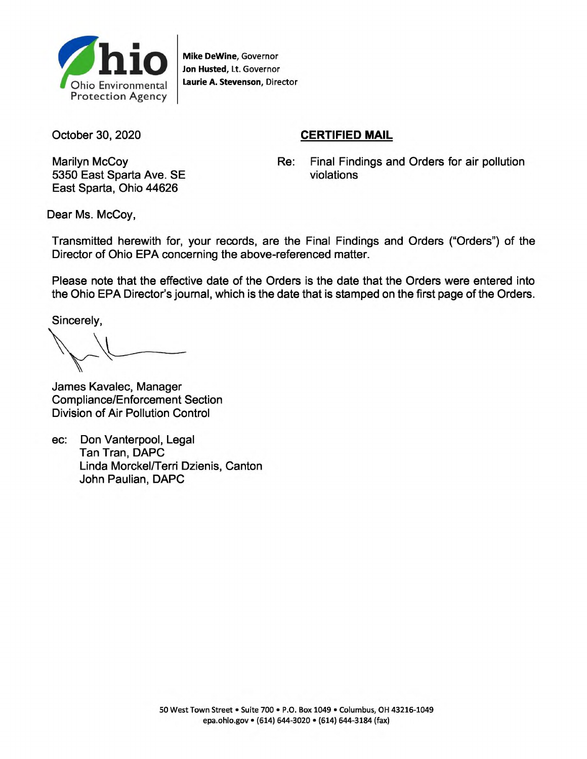

**Mike DeWine**, Governor **Jon Husted**, Lt. Governor **Laurie A. Stevenson**, Director

October 30, 2020

## **CERTIFIED MAIL**

Marilyn McCoy Re: 5350 East Sparta Ave. SE East Sparta, Ohio 44626

Final Findings and Orders for air pollution violations

Dear Ms. McCoy,

Transmitted herewith for, your records, are the Final Findings and Orders ("Orders") of the Director of Ohio EPA concerning the above-referenced matter.

Please note that the effective date of the Orders is the date that the Orders were entered into the Ohio EPA Director's journal, which is the date that is stamped on the first page of the Orders.

Sincerely,

 $\overline{a}$ \_

James Kavalec, Manager Compliance/Enforcement Section Division of Air Pollution Control

ec: Don Vanterpool, Legal Tan Tran, DAPC Linda Morckel/Terri Dzienis, Canton John Paulian, DAPC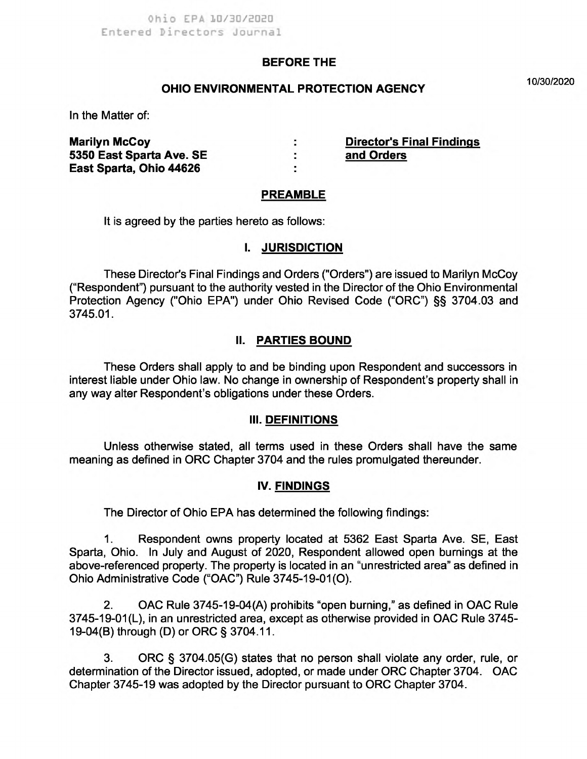#### **BEFORE THE**

# **10/30/2020 OHIO ENVIRONMENTAL PROTECTION AGENCY**

In the Matter of:

**Marilyn McCoy**<br>
5350 East Sparta Ave. SE **1998 Contract Search Stand Orders**<br>
2010 Contract Ave. SE 2010 Contract 2010 Contract 2010 **5350 East Sparta Ave. SE** : **East Sparta, Ohio 44626 :** 

#### **PREAMBLE**

It is agreed by the parties hereto as follows:

#### **I. JURISDICTION**

These Director's Final Findings and Orders ("Orders") are issued to Marilyn McCoy ("Respondent") pursuant to the authority vested in the Director of the Ohio Environmental Protection Agency ("Ohio EPA") under Ohio Revised Code ("ORC") §§ 3704.03 and 3745.01.

#### **II. PARTIES BOUND**

These Orders shall apply to and be binding upon Respondent and successors in interest liable under Ohio law. No change in ownership of Respondent's property shall in any way alter Respondent's obligations under these Orders.

#### **III. DEFINITIONS**

Unless otherwise stated, all terms used in these Orders shall have the same meaning as defined in ORC Chapter 3704 and the rules promulgated thereunder.

#### **IV. FINDINGS**

The Director of Ohio EPA has determined the following findings:

1. Respondent owns property located at 5362 East Sparta Ave. SE, East Sparta, Ohio. In July and August of 2020, Respondent allowed open burnings at the above-referenced property. The property is located in an "unrestricted area" as defined in Ohio Administrative Code ("OAC") Rule 3745-19-01(O).

2. OAC Rule 3745-19-04(A) prohibits "open burning," as defined in OAC Rule 3745-19-01(L), in an unrestricted area, except as otherwise provided in OAC Rule 3745- 19-04(B) through (D) or ORC § 3704.11.

3. ORC § 3704.05(G) states that no person shall violate any order, rule, or determination of the Director issued, adopted, or made under ORC Chapter 3704. OAC Chapter 3745-19 was adopted by the Director pursuant to ORC Chapter 3704.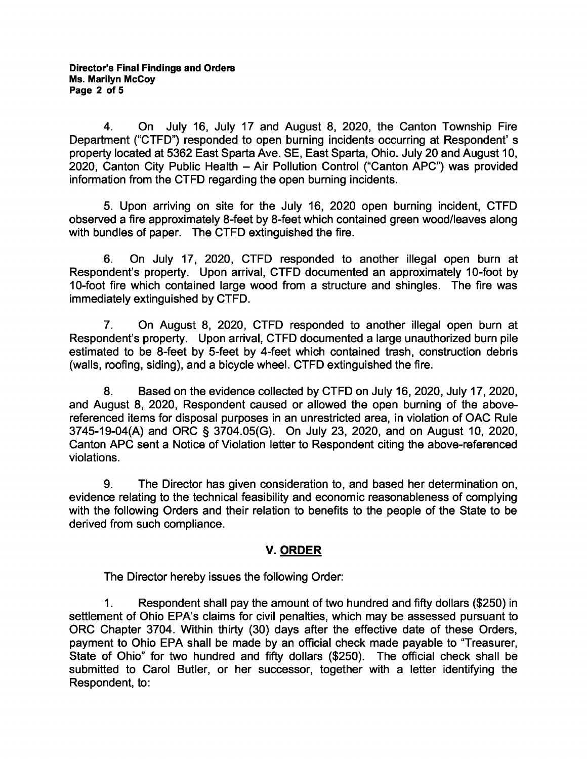4. On July 16, July 17 and August 8, 2020, the Canton Township Fire Department ("CTFD") responded to open burning incidents occurring at Respondent's property located at 5362 East Sparta Ave. SE, East Sparta, Ohio. July 20 and August 10, 2020, Canton City Public Health — Air Pollution Control ("Canton APC") was provided information from the CTFD regarding the open burning incidents.

5. Upon arriving on site for the July 16, 2020 open burning incident, CTFD observed a fire approximately 8-feet by 8-feet which contained green wood/leaves along with bundles of paper. The CTFD extinguished the fire.

6. On July 17, 2020, CTFD responded to another illegal open burn at Respondent's property. Upon arrival, CTFD documented an approximately 10-foot by 10-foot fire which contained large wood from a structure and shingles. The fire was immediately extinguished by CTFD.

7. On August 8, 2020, CTFD responded to another illegal open burn at Respondent's property. Upon arrival, CTFD documented a large unauthorized burn pile estimated to be 8-feet by 5-feet by 4-feet which contained trash, construction debris (walls, roofing, siding), and a bicycle wheel. CTFD extinguished the fire.

8. Based on the evidence collected by CTFD on July 16, 2020, July 17, 2020, and August 8, 2020, Respondent caused or allowed the open burning of the abovereferenced items for disposal purposes in an unrestricted area, in violation of OAC Rule 3745-19-04(A) and ORC § 3704.05(G). On July 23, 2020, and on August 10, 2020, Canton APC sent a Notice of Violation letter to Respondent citing the above-referenced violations.

9. The Director has given consideration to, and based her determination on, evidence relating to the technical feasibility and economic reasonableness of complying with the following Orders and their relation to benefits to the people of the State to be derived from such compliance.

## **V. ORDER**

The Director hereby issues the following Order:

1. Respondent shall pay the amount of two hundred and fifty dollars (\$250) in settlement of Ohio EPA's claims for civil penalties, which may be assessed pursuant to ORC Chapter 3704. Within thirty (30) days after the effective date of these Orders, payment to Ohio EPA shall be made by an official check made payable to "Treasurer, State of Ohio" for two hundred and fifty dollars (\$250). The official check shall be submitted to Carol Butler, or her successor, together with a letter identifying the Respondent, to: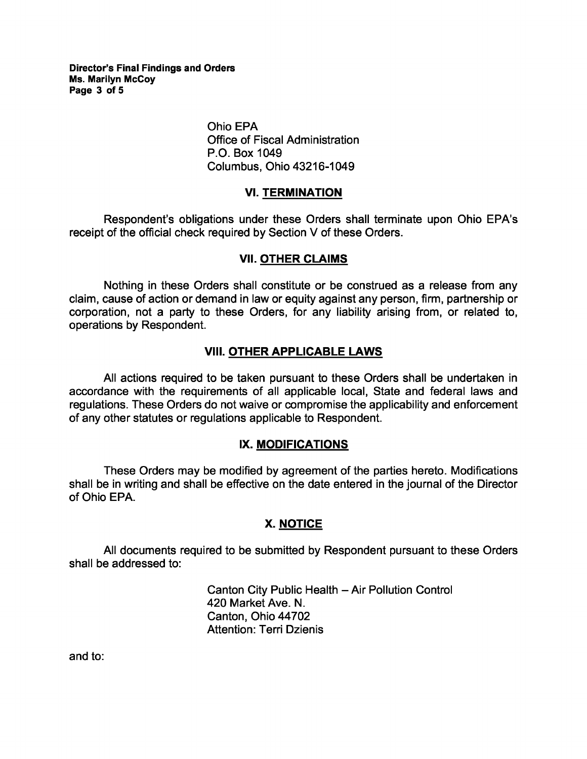**Director's Final Findings and Orders Ms. Marilyn McCoy Page 3 of 5** 

> Ohio EPA Office of Fiscal Administration P.O. Box 1049 Columbus, Ohio 43216-1049

#### **VI. TERMINATION**

Respondent's obligations under these Orders shall terminate upon Ohio EPA's receipt of the official check required by Section V of these Orders.

#### **VII. OTHER CLAIMS**

Nothing in these Orders shall constitute or be construed as a release from any claim, cause of action or demand in law or equity against any person, firm, partnership or corporation, not a party to these Orders, for any liability arising from, or related to, operations by Respondent.

#### **VIII. OTHER APPLICABLE LAWS**

All actions required to be taken pursuant to these Orders shall be undertaken in accordance with the requirements of all applicable local, State and federal laws and regulations. These Orders do not waive or compromise the applicability and enforcement of any other statutes or regulations applicable to Respondent.

#### **IX. MODIFICATIONS**

These Orders may be modified by agreement of the parties hereto. Modifications shall be in writing and shall be effective on the date entered in the journal of the Director of Ohio EPA.

## **X. NOTICE**

All documents required to be submitted by Respondent pursuant to these Orders shall be addressed to:

> Canton City Public Health - Air Pollution Control 420 Market Ave. N. Canton, Ohio 44702 Attention: Terri Dzienis

and to: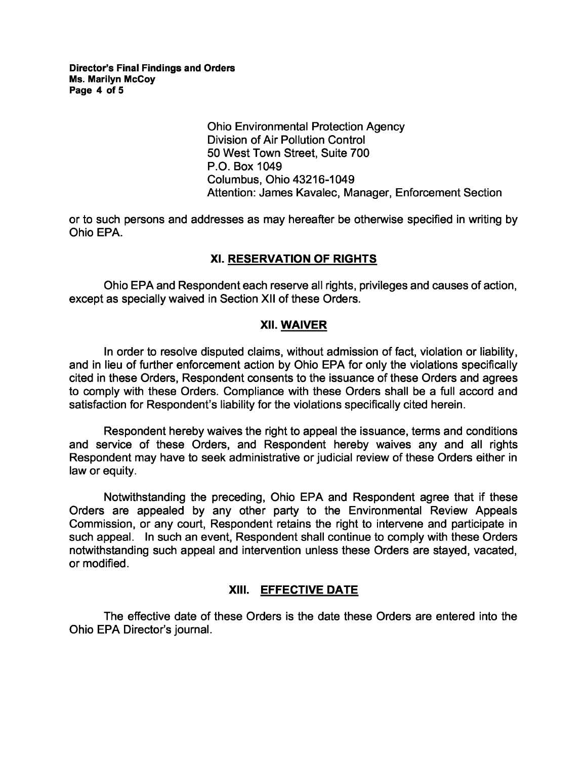Ohio Environmental Protection Agency Division of Air Pollution Control 50 West Town Street, Suite 700 P.O. Box 1049 Columbus, Ohio 43216-1049 Attention: James Kavalec, Manager, Enforcement Section

or to such persons and addresses as may hereafter be otherwise specified in writing by Ohio EPA.

## **XI. RESERVATION OF RIGHTS**

Ohio EPA and Respondent each reserve all rights, privileges and causes of action, except as specially waived in Section XII of these Orders.

## **XII. WAIVER**

In order to resolve disputed claims, without admission of fact, violation or liability, and in lieu of further enforcement action by Ohio EPA for only the violations specifically cited in these Orders, Respondent consents to the issuance of these Orders and agrees to comply with these Orders. Compliance with these Orders shall be a full accord and satisfaction for Respondent's liability for the violations specifically cited herein.

Respondent hereby waives the right to appeal the issuance, terms and conditions and service of these Orders, and Respondent hereby waives any and all rights Respondent may have to seek administrative or judicial review of these Orders either in law or equity.

Notwithstanding the preceding, Ohio EPA and Respondent agree that if these Orders are appealed by any other party to the Environmental Review Appeals Commission, or any court, Respondent retains the right to intervene and participate in such appeal. In such an event, Respondent shall continue to comply with these Orders notwithstanding such appeal and intervention unless these Orders are stayed, vacated, or modified.

## **XIII. EFFECTIVE DATE**

The effective date of these Orders is the date these Orders are entered into the Ohio EPA Director's journal.